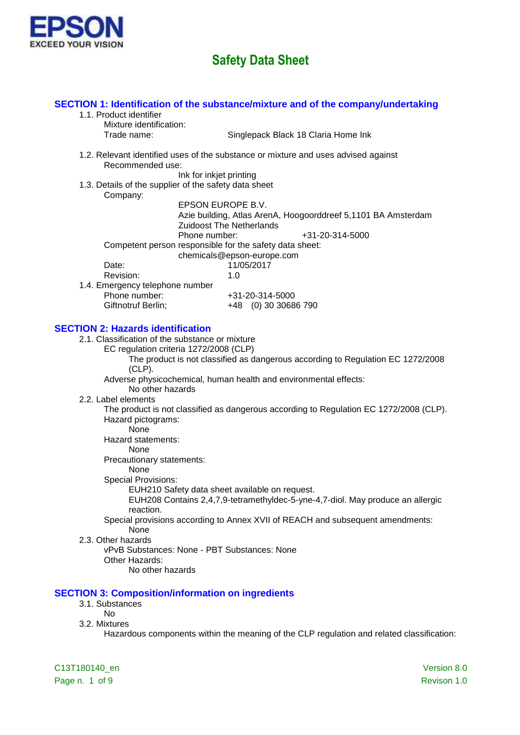

### **SECTION 1: Identification of the substance/mixture and of the company/undertaking** 1.1. Product identifier Mixture identification: Trade name: Singlepack Black 18 Claria Home Ink

1.2. Relevant identified uses of the substance or mixture and uses advised against Recommended use:

Ink for inkjet printing

1.3. Details of the supplier of the safety data sheet Company:

EPSON EUROPE B.V. Azie building, Atlas ArenA, Hoogoorddreef 5,1101 BA Amsterdam Zuidoost The Netherlands Phone number:  $+31-20-314-5000$ Competent person responsible for the safety data sheet: chemicals@epson-europe.com Date: 11/05/2017 Revision: 1.0 1.4. Emergency telephone number Phone number: +31-20-314-5000 Giftnotruf Berlin; +48 (0) 30 30686 790

### **SECTION 2: Hazards identification**

- 2.1. Classification of the substance or mixture
	- EC regulation criteria 1272/2008 (CLP)

The product is not classified as dangerous according to Regulation EC 1272/2008 (CLP).

Adverse physicochemical, human health and environmental effects:

No other hazards

2.2. Label elements

The product is not classified as dangerous according to Regulation EC 1272/2008 (CLP). Hazard pictograms:

None

Hazard statements:

None

Precautionary statements:

#### None

Special Provisions:

EUH210 Safety data sheet available on request.

EUH208 Contains 2,4,7,9-tetramethyldec-5-yne-4,7-diol. May produce an allergic reaction.

Special provisions according to Annex XVII of REACH and subsequent amendments: None

2.3. Other hazards

vPvB Substances: None - PBT Substances: None Other Hazards:

No other hazards

### **SECTION 3: Composition/information on ingredients**

- 3.1. Substances
	- No
- 3.2. Mixtures

Hazardous components within the meaning of the CLP regulation and related classification: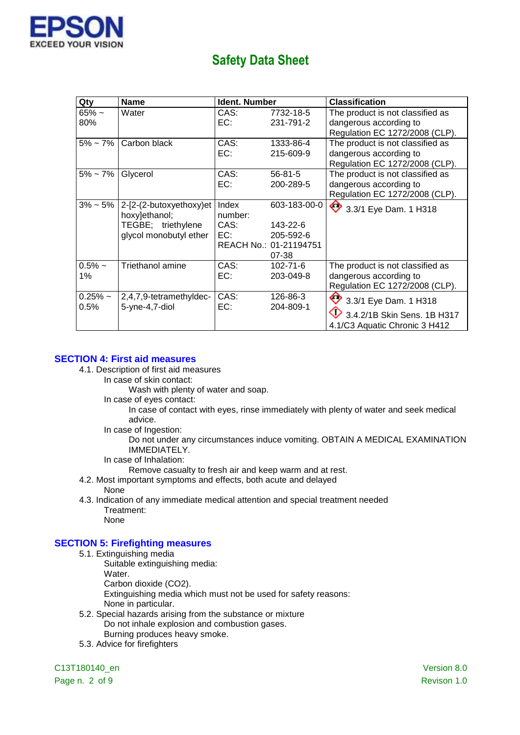

| Qty               | <b>Name</b>                                                                              | <b>Ident. Number</b>            |                                                                          | Classification                                                                               |
|-------------------|------------------------------------------------------------------------------------------|---------------------------------|--------------------------------------------------------------------------|----------------------------------------------------------------------------------------------|
| $65% -$<br>80%    | Water                                                                                    | CAS:<br>EC:                     | 7732-18-5<br>231-791-2                                                   | The product is not classified as<br>dangerous according to<br>Regulation EC 1272/2008 (CLP). |
| $5\% \sim 7\%$    | Carbon black                                                                             | CAS:<br>EC:                     | 1333-86-4<br>215-609-9                                                   | The product is not classified as<br>dangerous according to<br>Regulation EC 1272/2008 (CLP). |
| $5\% \sim 7\%$    | Glycerol                                                                                 | CAS:<br>EC:                     | $56 - 81 - 5$<br>200-289-5                                               | The product is not classified as<br>dangerous according to<br>Regulation EC 1272/2008 (CLP). |
| $3\%$ ~ 5%        | 2-[2-(2-butoxyethoxy)et<br>hoxy]ethanol;<br>TEGBE; triethylene<br>glycol monobutyl ether | Index<br>number:<br>CAS:<br>EC: | 603-183-00-0<br>143-22-6<br>205-592-6<br>REACH No.: 01-21194751<br>07-38 | ◇<br>3.3/1 Eye Dam. 1 H318                                                                   |
| $0.5%$ ~<br>1%    | Triethanol amine                                                                         | CAS:<br>EC:                     | $102 - 71 - 6$<br>203-049-8                                              | The product is not classified as<br>dangerous according to<br>Regulation EC 1272/2008 (CLP). |
| $0.25%$ ~<br>0.5% | 2,4,7,9-tetramethyldec-<br>5-yne-4,7-diol                                                | CAS:<br>EC:                     | 126-86-3<br>204-809-1                                                    | 3 3/1 Eye Dam. 1 H318<br>3.4.2/1B Skin Sens. 1B H317<br>4.1/C3 Aquatic Chronic 3 H412        |

### **SECTION 4: First aid measures**

- 4.1. Description of first aid measures
	- In case of skin contact:
		- Wash with plenty of water and soap.
	- In case of eyes contact:
		- In case of contact with eyes, rinse immediately with plenty of water and seek medical advice.
	- In case of Ingestion:
		- Do not under any circumstances induce vomiting. OBTAIN A MEDICAL EXAMINATION IMMEDIATELY.
	- In case of Inhalation:
		- Remove casualty to fresh air and keep warm and at rest.
- 4.2. Most important symptoms and effects, both acute and delayed
	- None
- 4.3. Indication of any immediate medical attention and special treatment needed Treatment: None
- **SECTION 5: Firefighting measures**
	- 5.1. Extinguishing media
		- Suitable extinguishing media: Water. Carbon dioxide (CO2).
			- Extinguishing media which must not be used for safety reasons:
			- None in particular.
	- 5.2. Special hazards arising from the substance or mixture Do not inhale explosion and combustion gases. Burning produces heavy smoke.
	- 5.3. Advice for firefighters

C13T180140\_en Version 8.0

Page n. 2 of 9 Revison 1.0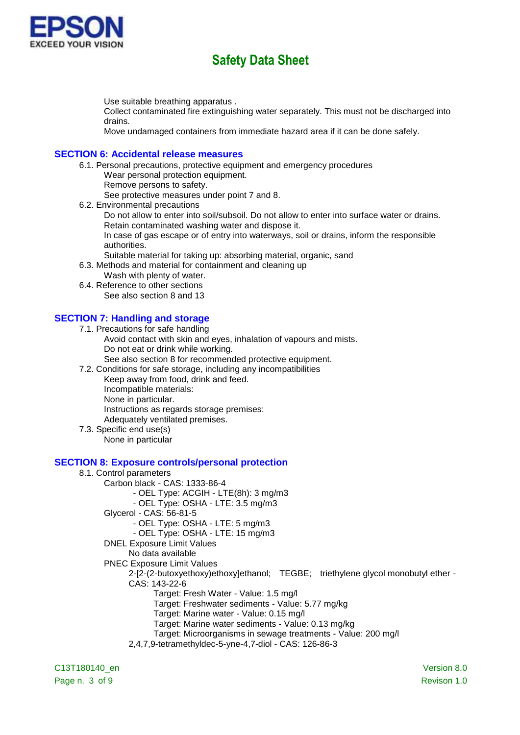

Use suitable breathing apparatus .

Collect contaminated fire extinguishing water separately. This must not be discharged into drains.

Move undamaged containers from immediate hazard area if it can be done safely.

#### **SECTION 6: Accidental release measures**

- 6.1. Personal precautions, protective equipment and emergency procedures Wear personal protection equipment.
	- Remove persons to safety.

See protective measures under point 7 and 8.

6.2. Environmental precautions

Do not allow to enter into soil/subsoil. Do not allow to enter into surface water or drains. Retain contaminated washing water and dispose it.

In case of gas escape or of entry into waterways, soil or drains, inform the responsible authorities.

- Suitable material for taking up: absorbing material, organic, sand
- 6.3. Methods and material for containment and cleaning up
	- Wash with plenty of water.
- 6.4. Reference to other sections See also section 8 and 13

### **SECTION 7: Handling and storage**

7.1. Precautions for safe handling

- Avoid contact with skin and eyes, inhalation of vapours and mists. Do not eat or drink while working.
	- See also section 8 for recommended protective equipment.
- 7.2. Conditions for safe storage, including any incompatibilities

Keep away from food, drink and feed.

- Incompatible materials:
- None in particular.

Instructions as regards storage premises:

- Adequately ventilated premises.
- 7.3. Specific end use(s)
	- None in particular

### **SECTION 8: Exposure controls/personal protection**

# 8.1. Control parameters

- Carbon black CAS: 1333-86-4
	- OEL Type: ACGIH LTE(8h): 3 mg/m3
	- OEL Type: OSHA LTE: 3.5 mg/m3
- Glycerol CAS: 56-81-5
	- OEL Type: OSHA LTE: 5 mg/m3
	- OEL Type: OSHA LTE: 15 mg/m3
- DNEL Exposure Limit Values
	- No data available
- PNEC Exposure Limit Values

2-[2-(2-butoxyethoxy)ethoxy]ethanol; TEGBE; triethylene glycol monobutyl ether -

- CAS: 143-22-6
	- Target: Fresh Water Value: 1.5 mg/l

Target: Freshwater sediments - Value: 5.77 mg/kg

- Target: Marine water Value: 0.15 mg/l
- Target: Marine water sediments Value: 0.13 mg/kg
- Target: Microorganisms in sewage treatments Value: 200 mg/l
- 2,4,7,9-tetramethyldec-5-yne-4,7-diol CAS: 126-86-3

C13T180140\_en Version 8.0 Page n. 3 of 9 Revison 1.0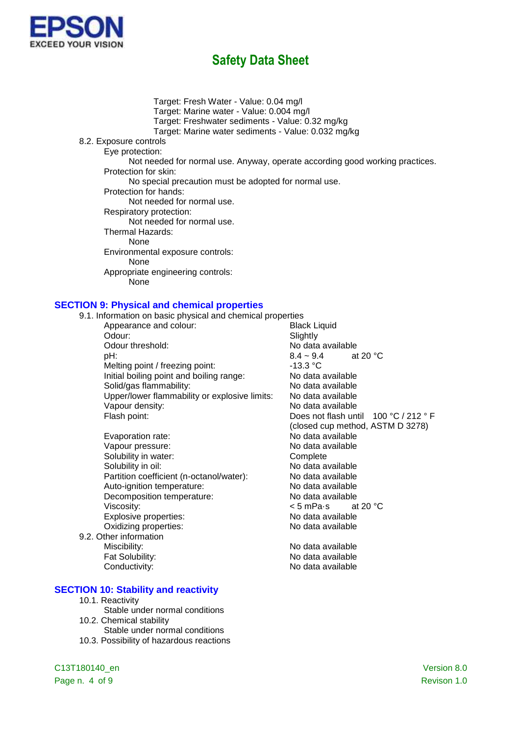

Target: Fresh Water - Value: 0.04 mg/l Target: Marine water - Value: 0.004 mg/l Target: Freshwater sediments - Value: 0.32 mg/kg Target: Marine water sediments - Value: 0.032 mg/kg 8.2. Exposure controls Eye protection: Not needed for normal use. Anyway, operate according good working practices. Protection for skin: No special precaution must be adopted for normal use. Protection for hands: Not needed for normal use. Respiratory protection: Not needed for normal use. Thermal Hazards: None Environmental exposure controls: None Appropriate engineering controls: **None** 

#### **SECTION 9: Physical and chemical properties**

| 9.1. Information on basic physical and chemical properties |                                        |
|------------------------------------------------------------|----------------------------------------|
| Appearance and colour:                                     | <b>Black Liquid</b>                    |
| Odour:                                                     | Slightly                               |
| Odour threshold:                                           | No data available                      |
| pH:                                                        | at 20 $\degree$ C<br>$8.4 \sim 9.4$    |
| Melting point / freezing point:                            | -13.3 °C                               |
| Initial boiling point and boiling range:                   | No data available                      |
| Solid/gas flammability:                                    | No data available                      |
| Upper/lower flammability or explosive limits:              | No data available                      |
| Vapour density:                                            | No data available                      |
| Flash point:                                               | Does not flash until $100 °C / 212 °F$ |
|                                                            | (closed cup method, ASTM D 3278)       |
| Evaporation rate:                                          | No data available                      |
| Vapour pressure:                                           | No data available                      |
| Solubility in water:                                       | Complete                               |
| Solubility in oil:                                         | No data available                      |
| Partition coefficient (n-octanol/water):                   | No data available                      |
| Auto-ignition temperature:                                 | No data available                      |
| Decomposition temperature:                                 | No data available                      |
| Viscosity:                                                 | < 5 mPa⋅s<br>at 20 $\degree$ C         |
| Explosive properties:                                      | No data available                      |
| Oxidizing properties:                                      | No data available                      |
| 9.2. Other information                                     |                                        |
| Miscibility:                                               | No data available                      |
| Fat Solubility:                                            | No data available                      |
| Conductivity:                                              | No data available                      |
|                                                            |                                        |

#### **SECTION 10: Stability and reactivity**

- 10.1. Reactivity
- Stable under normal conditions 10.2. Chemical stability Stable under normal conditions
- 10.3. Possibility of hazardous reactions

Page n. 4 of 9 Revison 1.0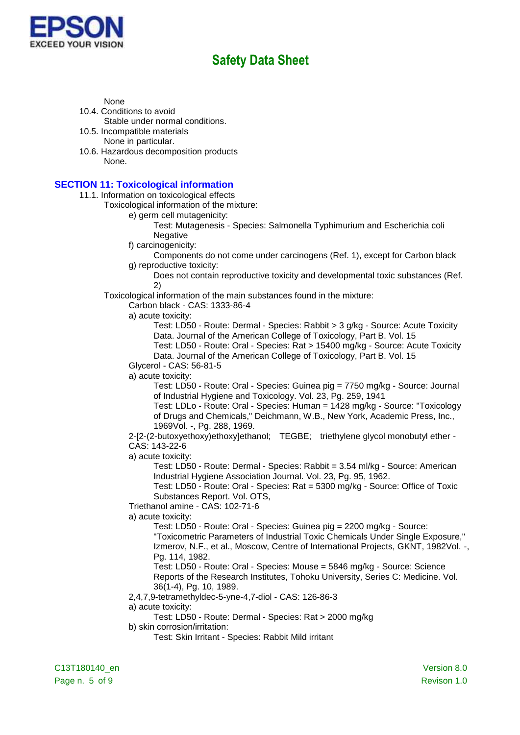

None

- 10.4. Conditions to avoid Stable under normal conditions.
- 10.5. Incompatible materials
- None in particular. 10.6. Hazardous decomposition products None.

### **SECTION 11: Toxicological information**

11.1. Information on toxicological effects

Toxicological information of the mixture:

e) germ cell mutagenicity:

Test: Mutagenesis - Species: Salmonella Typhimurium and Escherichia coli **Negative** 

- f) carcinogenicity:
- Components do not come under carcinogens (Ref. 1), except for Carbon black g) reproductive toxicity:

Does not contain reproductive toxicity and developmental toxic substances (Ref. 2)

Toxicological information of the main substances found in the mixture:

Carbon black - CAS: 1333-86-4

a) acute toxicity:

Test: LD50 - Route: Dermal - Species: Rabbit > 3 g/kg - Source: Acute Toxicity Data. Journal of the American College of Toxicology, Part B. Vol. 15

Test: LD50 - Route: Oral - Species: Rat > 15400 mg/kg - Source: Acute Toxicity Data. Journal of the American College of Toxicology, Part B. Vol. 15

Glycerol - CAS: 56-81-5

a) acute toxicity:

Test: LD50 - Route: Oral - Species: Guinea pig = 7750 mg/kg - Source: Journal of Industrial Hygiene and Toxicology. Vol. 23, Pg. 259, 1941

Test: LDLo - Route: Oral - Species: Human = 1428 mg/kg - Source: "Toxicology of Drugs and Chemicals," Deichmann, W.B., New York, Academic Press, Inc., 1969Vol. -, Pg. 288, 1969.

2-[2-(2-butoxyethoxy)ethoxy]ethanol; TEGBE; triethylene glycol monobutyl ether - CAS: 143-22-6

a) acute toxicity:

Test: LD50 - Route: Dermal - Species: Rabbit = 3.54 ml/kg - Source: American Industrial Hygiene Association Journal. Vol. 23, Pg. 95, 1962.

Test: LD50 - Route: Oral - Species: Rat = 5300 mg/kg - Source: Office of Toxic Substances Report. Vol. OTS,

Triethanol amine - CAS: 102-71-6

a) acute toxicity:

Test: LD50 - Route: Oral - Species: Guinea pig = 2200 mg/kg - Source: "Toxicometric Parameters of Industrial Toxic Chemicals Under Single Exposure," Izmerov, N.F., et al., Moscow, Centre of International Projects, GKNT, 1982Vol. -, Pg. 114, 1982.

Test: LD50 - Route: Oral - Species: Mouse = 5846 mg/kg - Source: Science Reports of the Research Institutes, Tohoku University, Series C: Medicine. Vol. 36(1-4), Pg. 10, 1989.

2,4,7,9-tetramethyldec-5-yne-4,7-diol - CAS: 126-86-3

a) acute toxicity:

Test: LD50 - Route: Dermal - Species: Rat > 2000 mg/kg

b) skin corrosion/irritation:

Test: Skin Irritant - Species: Rabbit Mild irritant

C13T180140\_en Version 8.0 Page n. 5 of 9 Revison 1.0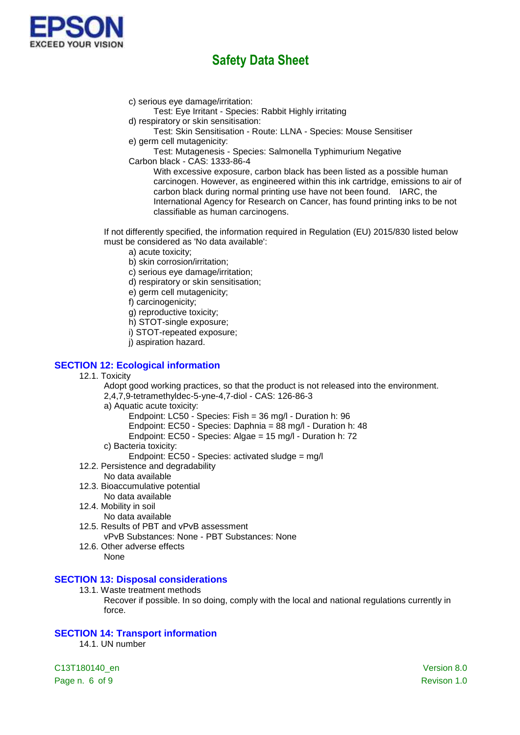

c) serious eye damage/irritation:

Test: Eye Irritant - Species: Rabbit Highly irritating

- d) respiratory or skin sensitisation:
- Test: Skin Sensitisation Route: LLNA Species: Mouse Sensitiser e) germ cell mutagenicity:
- Test: Mutagenesis Species: Salmonella Typhimurium Negative
- Carbon black CAS: 1333-86-4

With excessive exposure, carbon black has been listed as a possible human carcinogen. However, as engineered within this ink cartridge, emissions to air of carbon black during normal printing use have not been found. IARC, the International Agency for Research on Cancer, has found printing inks to be not classifiable as human carcinogens.

If not differently specified, the information required in Regulation (EU) 2015/830 listed below must be considered as 'No data available':

- a) acute toxicity;
- b) skin corrosion/irritation;
- c) serious eye damage/irritation;
- d) respiratory or skin sensitisation;
- e) germ cell mutagenicity;
- f) carcinogenicity;
- g) reproductive toxicity;
- h) STOT-single exposure;
- i) STOT-repeated exposure;
- j) aspiration hazard.

### **SECTION 12: Ecological information**

12.1. Toxicity

Adopt good working practices, so that the product is not released into the environment.

- 2,4,7,9-tetramethyldec-5-yne-4,7-diol CAS: 126-86-3
- a) Aquatic acute toxicity:
	- Endpoint: LC50 Species: Fish = 36 mg/l Duration h: 96
	- Endpoint: EC50 Species: Daphnia = 88 mg/l Duration h: 48
	- Endpoint: EC50 Species: Algae = 15 mg/l Duration h: 72
- c) Bacteria toxicity:
	- Endpoint: EC50 Species: activated sludge = mg/l
- 12.2. Persistence and degradability
	- No data available
- 12.3. Bioaccumulative potential
	- No data available
- 12.4. Mobility in soil
	- No data available
- 12.5. Results of PBT and vPvB assessment
	- vPvB Substances: None PBT Substances: None
- 12.6. Other adverse effects
	- None

### **SECTION 13: Disposal considerations**

- 13.1. Waste treatment methods
	- Recover if possible. In so doing, comply with the local and national regulations currently in force.

### **SECTION 14: Transport information**

14.1. UN number

C13T180140\_en Version 8.0 Page n. 6 of 9 Revison 1.0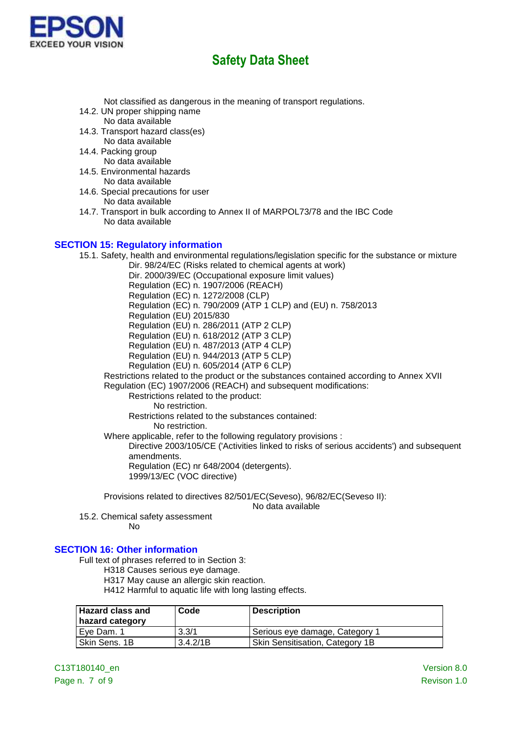

Not classified as dangerous in the meaning of transport regulations.

- 14.2. UN proper shipping name No data available
- 14.3. Transport hazard class(es) No data available
- 14.4. Packing group No data available
- 14.5. Environmental hazards No data available
- 14.6. Special precautions for user No data available
- 14.7. Transport in bulk according to Annex II of MARPOL73/78 and the IBC Code No data available

### **SECTION 15: Regulatory information**

15.1. Safety, health and environmental regulations/legislation specific for the substance or mixture Dir. 98/24/EC (Risks related to chemical agents at work) Dir. 2000/39/EC (Occupational exposure limit values) Regulation (EC) n. 1907/2006 (REACH) Regulation (EC) n. 1272/2008 (CLP) Regulation (EC) n. 790/2009 (ATP 1 CLP) and (EU) n. 758/2013 Regulation (EU) 2015/830 Regulation (EU) n. 286/2011 (ATP 2 CLP) Regulation (EU) n. 618/2012 (ATP 3 CLP) Regulation (EU) n. 487/2013 (ATP 4 CLP) Regulation (EU) n. 944/2013 (ATP 5 CLP) Regulation (EU) n. 605/2014 (ATP 6 CLP) Restrictions related to the product or the substances contained according to Annex XVII Regulation (EC) 1907/2006 (REACH) and subsequent modifications: Restrictions related to the product: No restriction. Restrictions related to the substances contained: No restriction. Where applicable, refer to the following regulatory provisions : Directive 2003/105/CE ('Activities linked to risks of serious accidents') and subsequent amendments.

Regulation (EC) nr 648/2004 (detergents). 1999/13/EC (VOC directive)

Provisions related to directives 82/501/EC(Seveso), 96/82/EC(Seveso II):

No data available

15.2. Chemical safety assessment No

## **SECTION 16: Other information**

Full text of phrases referred to in Section 3:

H318 Causes serious eye damage.

H317 May cause an allergic skin reaction.

H412 Harmful to aquatic life with long lasting effects.

| <b>Hazard class and</b><br>hazard category | Code     | <b>Description</b>                     |
|--------------------------------------------|----------|----------------------------------------|
| Eve Dam, 1                                 | 3.3/1    | Serious eye damage, Category 1         |
| Skin Sens, 1B                              | 3.4.2/1B | <b>Skin Sensitisation, Category 1B</b> |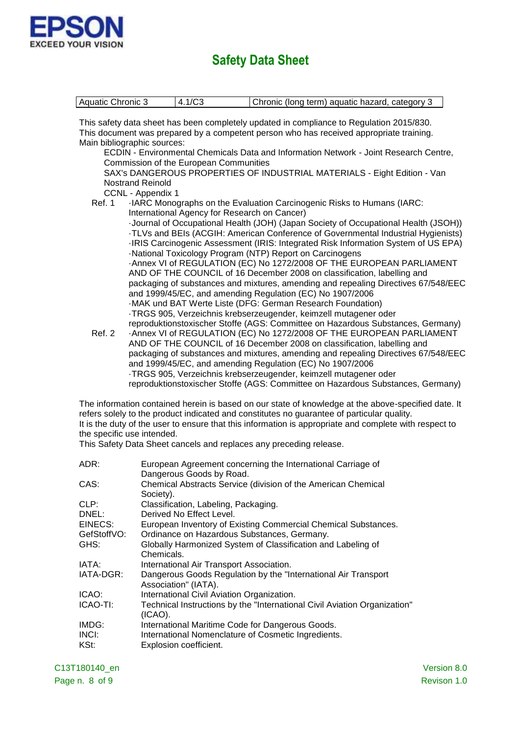

| Aquatic Chronic 3                                                                                   | 4.1/C3                                       | Chronic (long term) aquatic hazard, category 3                                           |  |  |  |
|-----------------------------------------------------------------------------------------------------|----------------------------------------------|------------------------------------------------------------------------------------------|--|--|--|
|                                                                                                     |                                              |                                                                                          |  |  |  |
|                                                                                                     |                                              | This safety data sheet has been completely updated in compliance to Regulation 2015/830. |  |  |  |
|                                                                                                     |                                              | This document was prepared by a competent person who has received appropriate training.  |  |  |  |
| Main bibliographic sources:                                                                         |                                              |                                                                                          |  |  |  |
|                                                                                                     |                                              | ECDIN - Environmental Chemicals Data and Information Network - Joint Research Centre,    |  |  |  |
|                                                                                                     | Commission of the European Communities       |                                                                                          |  |  |  |
|                                                                                                     |                                              | SAX's DANGEROUS PROPERTIES OF INDUSTRIAL MATERIALS - Eight Edition - Van                 |  |  |  |
| <b>Nostrand Reinold</b>                                                                             |                                              |                                                                                          |  |  |  |
| CCNL - Appendix 1                                                                                   |                                              |                                                                                          |  |  |  |
| <b>Ref. 1</b>                                                                                       |                                              | ·IARC Monographs on the Evaluation Carcinogenic Risks to Humans (IARC:                   |  |  |  |
|                                                                                                     | International Agency for Research on Cancer) | -Journal of Occupational Health (JOH) (Japan Society of Occupational Health (JSOH))      |  |  |  |
|                                                                                                     |                                              | TLVs and BEIs (ACGIH: American Conference of Governmental Industrial Hygienists)         |  |  |  |
|                                                                                                     |                                              | -IRIS Carcinogenic Assessment (IRIS: Integrated Risk Information System of US EPA)       |  |  |  |
|                                                                                                     |                                              | -National Toxicology Program (NTP) Report on Carcinogens                                 |  |  |  |
|                                                                                                     |                                              | -Annex VI of REGULATION (EC) No 1272/2008 OF THE EUROPEAN PARLIAMENT                     |  |  |  |
|                                                                                                     |                                              | AND OF THE COUNCIL of 16 December 2008 on classification, labelling and                  |  |  |  |
|                                                                                                     |                                              | packaging of substances and mixtures, amending and repealing Directives 67/548/EEC       |  |  |  |
|                                                                                                     |                                              | and 1999/45/EC, and amending Regulation (EC) No 1907/2006                                |  |  |  |
|                                                                                                     |                                              | -MAK und BAT Werte Liste (DFG: German Research Foundation)                               |  |  |  |
|                                                                                                     |                                              | ·TRGS 905, Verzeichnis krebserzeugender, keimzell mutagener oder                         |  |  |  |
|                                                                                                     |                                              | reproduktionstoxischer Stoffe (AGS: Committee on Hazardous Substances, Germany)          |  |  |  |
| Ref. 2                                                                                              |                                              | -Annex VI of REGULATION (EC) No 1272/2008 OF THE EUROPEAN PARLIAMENT                     |  |  |  |
|                                                                                                     |                                              | AND OF THE COUNCIL of 16 December 2008 on classification, labelling and                  |  |  |  |
|                                                                                                     |                                              | packaging of substances and mixtures, amending and repealing Directives 67/548/EEC       |  |  |  |
|                                                                                                     |                                              | and 1999/45/EC, and amending Regulation (EC) No 1907/2006                                |  |  |  |
|                                                                                                     |                                              | ·TRGS 905, Verzeichnis krebserzeugender, keimzell mutagener oder                         |  |  |  |
|                                                                                                     |                                              | reproduktionstoxischer Stoffe (AGS: Committee on Hazardous Substances, Germany)          |  |  |  |
| The information contained herein is based on our state of knowledge at the above-specified date. It |                                              |                                                                                          |  |  |  |
| refers solely to the product indicated and constitutes no guarantee of particular quality.          |                                              |                                                                                          |  |  |  |

It is the duty of the user to ensure that this information is appropriate and complete with respect to the specific use intended.

This Safety Data Sheet cancels and replaces any preceding release.

| European Agreement concerning the International Carriage of<br>Dangerous Goods by Road. |
|-----------------------------------------------------------------------------------------|
| Chemical Abstracts Service (division of the American Chemical<br>Society).              |
| Classification, Labeling, Packaging.<br>Derived No Effect Level.                        |
| European Inventory of Existing Commercial Chemical Substances.                          |
| Ordinance on Hazardous Substances, Germany.                                             |
| Globally Harmonized System of Classification and Labeling of<br>Chemicals.              |
| International Air Transport Association.                                                |
| Dangerous Goods Regulation by the "International Air Transport"<br>Association" (IATA). |
| International Civil Aviation Organization.                                              |
| Technical Instructions by the "International Civil Aviation Organization"<br>$(ICAO)$ . |
| International Maritime Code for Dangerous Goods.                                        |
| International Nomenclature of Cosmetic Ingredients.                                     |
| Explosion coefficient.                                                                  |
|                                                                                         |